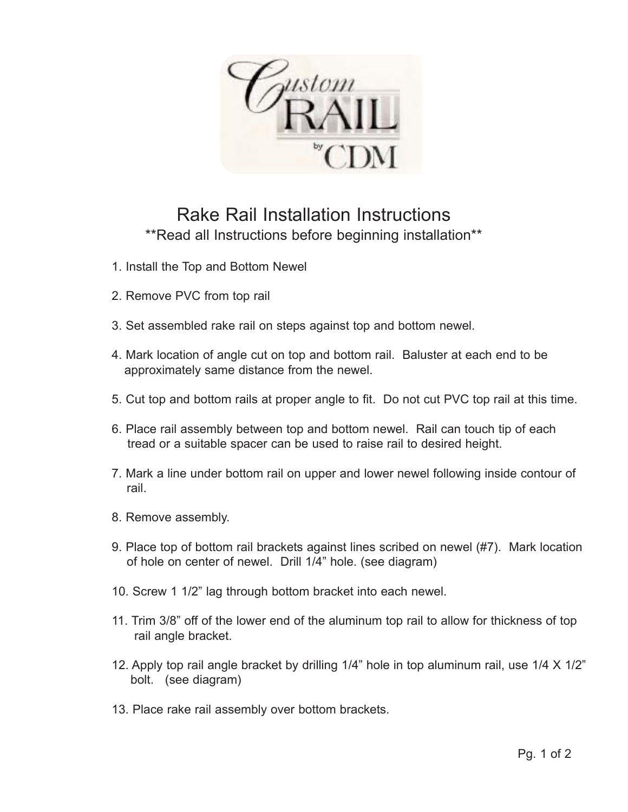ustom

## Rake Rail Installation Instructions \*\*Read all Instructions before beginning installation\*\*

- 1. Install the Top and Bottom Newel
- 2. Remove PVC from top rail
- 3. Set assembled rake rail on steps against top and bottom newel.
- 4. Mark location of angle cut on top and bottom rail. Baluster at each end to be approximately same distance from the newel.
- 5. Cut top and bottom rails at proper angle to fit. Do not cut PVC top rail at this time.
- 6. Place rail assembly between top and bottom newel. Rail can touch tip of each tread or a suitable spacer can be used to raise rail to desired height.
- 7. Mark a line under bottom rail on upper and lower newel following inside contour of rail.
- 8. Remove assembly.
- 9. Place top of bottom rail brackets against lines scribed on newel (#7). Mark location of hole on center of newel. Drill 1/4" hole. (see diagram)
- 10. Screw 1 1/2" lag through bottom bracket into each newel.
- 11. Trim 3/8" off of the lower end of the aluminum top rail to allow for thickness of top rail angle bracket.
- 12. Apply top rail angle bracket by drilling 1/4" hole in top aluminum rail, use 1/4 X 1/2" bolt. (see diagram)
- 13. Place rake rail assembly over bottom brackets.